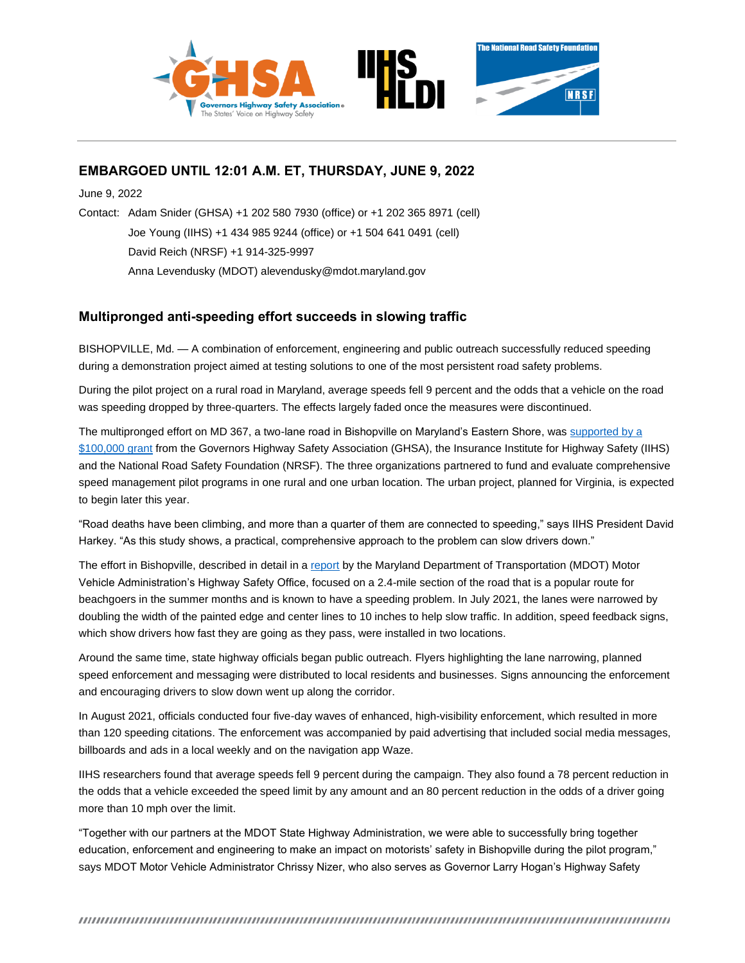

# **EMBARGOED UNTIL 12:01 A.M. ET, THURSDAY, JUNE 9, 2022**

June 9, 2022

Contact: Adam Snider (GHSA) +1 202 580 7930 (office) or +1 202 365 8971 (cell) Joe Young (IIHS) +1 434 985 9244 (office) or +1 504 641 0491 (cell) David Reich (NRSF) +1 914-325-9997 Anna Levendusky (MDOT) alevendusky@mdot.maryland.gov

# **Multipronged anti-speeding effort succeeds in slowing traffic**

BISHOPVILLE, Md. — A combination of enforcement, engineering and public outreach successfully reduced speeding during a demonstration project aimed at testing solutions to one of the most persistent road safety problems.

During the pilot project on a rural road in Maryland, average speeds fell 9 percent and the odds that a vehicle on the road was speeding dropped by three-quarters. The effects largely faded once the measures were discontinued.

The multipronged effort on MD 367, a two-lane road in Bishopville on Maryland's Eastern Shore, was supported by a \$100,000 grant from the Governors Highway Safety Association (GHSA), the Insurance Institute for Highway Safety (IIHS) and the National Road Safety Foundation (NRSF). The three organizations partnered to fund and evaluate comprehensive speed management pilot programs in one rural and one urban location. The urban project, planned for Virginia, is expected to begin later this year.

"Road deaths have been climbing, and more than a quarter of them are connected to speeding," says IIHS President David Harkey. "As this study shows, a practical, comprehensive approach to the problem can slow drivers down."

The effort in Bishopville, described in detail in a report by the Maryland Department of Transportation (MDOT) Motor Vehicle Administration's Highway Safety Office, focused on a 2.4-mile section of the road that is a popular route for beachgoers in the summer months and is known to have a speeding problem. In July 2021, the lanes were narrowed by doubling the width of the painted edge and center lines to 10 inches to help slow traffic. In addition, speed feedback signs, which show drivers how fast they are going as they pass, were installed in two locations.

Around the same time, state highway officials began public outreach. Flyers highlighting the lane narrowing, planned speed enforcement and messaging were distributed to local residents and businesses. Signs announcing the enforcement and encouraging drivers to slow down went up along the corridor.

In August 2021, officials conducted four five-day waves of enhanced, high-visibility enforcement, which resulted in more than 120 speeding citations. The enforcement was accompanied by paid advertising that included social media messages, billboards and ads in a local weekly and on the navigation app Waze.

IIHS researchers found that average speeds fell 9 percent during the campaign. They also found a 78 percent reduction in the odds that a vehicle exceeded the speed limit by any amount and an 80 percent reduction in the odds of a driver going more than 10 mph over the limit.

"Together with our partners at the MDOT State Highway Administration, we were able to successfully bring together education, enforcement and engineering to make an impact on motorists' safety in Bishopville during the pilot program," says MDOT Motor Vehicle Administrator Chrissy Nizer, who also serves as Governor Larry Hogan's Highway Safety